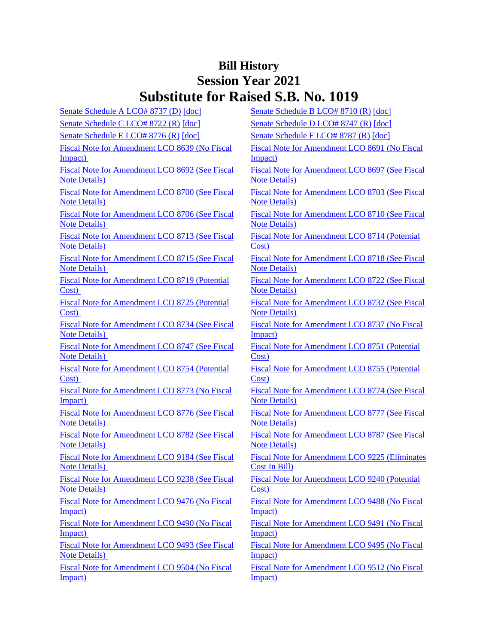# **Bill History Session Year 2021 Substitute for Raised S.B. No. 1019**

| Senate Schedule A LCO# 8737 (D) [doc]          | Senate Schedule B LCO# 8710 (R) [doc]        |
|------------------------------------------------|----------------------------------------------|
| Senate Schedule C LCO# 8722 (R) [doc]          | Senate Schedule D LCO# 8747 (R) [doc]        |
| Senate Schedule E LCO# 8776 (R) [doc]          | Senate Schedule F LCO# 8787 (R) [doc]        |
| Fiscal Note for Amendment LCO 8639 (No Fiscal  | Fiscal Note for Amendment LCO 8691 (I        |
| Impact)                                        | Impact)                                      |
| Fiscal Note for Amendment LCO 8692 (See Fiscal | Fiscal Note for Amendment LCO 8697 (         |
| <b>Note Details</b> )                          | <b>Note Details</b> )                        |
| Fiscal Note for Amendment LCO 8700 (See Fiscal | Fiscal Note for Amendment LCO 8703 (         |
| <b>Note Details</b> )                          | <b>Note Details</b> )                        |
| Fiscal Note for Amendment LCO 8706 (See Fiscal | <b>Fiscal Note for Amendment LCO 8710 (S</b> |
| <b>Note Details</b> )                          | <b>Note Details</b> )                        |
| Fiscal Note for Amendment LCO 8713 (See Fiscal | Fiscal Note for Amendment LCO 8714 (I        |
| <b>Note Details</b> )                          | Cost)                                        |
| Fiscal Note for Amendment LCO 8715 (See Fiscal | <b>Fiscal Note for Amendment LCO 8718 (S</b> |
| <b>Note Details</b> )                          | <b>Note Details</b> )                        |
| Fiscal Note for Amendment LCO 8719 (Potential  | <b>Fiscal Note for Amendment LCO 8722 (S</b> |
| Cost)                                          | <b>Note Details</b> )                        |
| Fiscal Note for Amendment LCO 8725 (Potential  | Fiscal Note for Amendment LCO 8732 (         |
| Cost)                                          | <b>Note Details</b> )                        |
| Fiscal Note for Amendment LCO 8734 (See Fiscal | Fiscal Note for Amendment LCO 8737 (I        |
| <b>Note Details</b> )                          | Impact)                                      |
| Fiscal Note for Amendment LCO 8747 (See Fiscal | Fiscal Note for Amendment LCO 8751 (1)       |
| <b>Note Details</b> )                          | Cost)                                        |
| Fiscal Note for Amendment LCO 8754 (Potential  | Fiscal Note for Amendment LCO 8755 (I        |
| Cost)                                          | Cost)                                        |
| Fiscal Note for Amendment LCO 8773 (No Fiscal  | <b>Fiscal Note for Amendment LCO 8774 (S</b> |
| Impact)                                        | <b>Note Details</b> )                        |
| Fiscal Note for Amendment LCO 8776 (See Fiscal | Fiscal Note for Amendment LCO 8777 (         |
| <b>Note Details</b> )                          | <b>Note Details</b> )                        |
| Fiscal Note for Amendment LCO 8782 (See Fiscal | <b>Fiscal Note for Amendment LCO 8787 (S</b> |
| <b>Note Details</b> )                          | <b>Note Details</b> )                        |
| Fiscal Note for Amendment LCO 9184 (See Fiscal | Fiscal Note for Amendment LCO 9225 (1        |
| <b>Note Details</b> )                          | Cost In Bill)                                |
| Fiscal Note for Amendment LCO 9238 (See Fiscal | Fiscal Note for Amendment LCO 9240 (I        |
| <b>Note Details</b> )                          | Cost)                                        |
| Fiscal Note for Amendment LCO 9476 (No Fiscal  | Fiscal Note for Amendment LCO 9488 (I        |
| Impact)                                        | Impact)                                      |
| Fiscal Note for Amendment LCO 9490 (No Fiscal  | Fiscal Note for Amendment LCO 9491 (I        |
| Impact)                                        | Impact)                                      |
| Fiscal Note for Amendment LCO 9493 (See Fiscal | Fiscal Note for Amendment LCO 9495 (I        |
| <b>Note Details</b> )                          | Impact)                                      |
| Fiscal Note for Amendment LCO 9504 (No Fiscal  | Fiscal Note for Amendment LCO 9512 (I        |
| Impact)                                        | Impact)                                      |

| <b>DEA DIDI TIDI 1</b>                                                         |
|--------------------------------------------------------------------------------|
| Senate Schedule B LCO# 8710 (R) [doc]                                          |
| Senate Schedule D LCO# 8747 (R) [doc]                                          |
| Senate Schedule F LCO# 8787 (R) [doc]                                          |
| Fiscal Note for Amendment LCO 8691 (No Fiscal                                  |
| Impact)                                                                        |
| Fiscal Note for Amendment LCO 8697 (See Fiscal<br><b>Note Details</b> )        |
| Fiscal Note for Amendment LCO 8703 (See Fiscal<br><b>Note Details</b> )        |
| Fiscal Note for Amendment LCO 8710 (See Fiscal<br><b>Note Details</b> )        |
| Fiscal Note for Amendment LCO 8714 (Potential<br>Cost)                         |
| Fiscal Note for Amendment LCO 8718 (See Fiscal<br><b>Note Details</b> )        |
| Fiscal Note for Amendment LCO 8722 (See Fiscal<br><b>Note Details</b> )        |
| Fiscal Note for Amendment LCO 8732 (See Fiscal<br><b>Note Details</b> )        |
| Fiscal Note for Amendment LCO 8737 (No Fiscal<br>Impact)                       |
| <b>Fiscal Note for Amendment LCO 8751 (Potential</b><br>Cost)                  |
| Fiscal Note for Amendment LCO 8755 (Potential<br>Cost)                         |
| Fiscal Note for Amendment LCO 8774 (See Fiscal<br><b>Note Details</b> )        |
| Fiscal Note for Amendment LCO 8777 (See Fiscal<br><b>Note Details</b> )        |
| <b>Fiscal Note for Amendment LCO 8787 (See Fiscal</b><br><b>Note Details</b> ) |
| Fiscal Note for Amendment LCO 9225 (Eliminates<br>Cost In Bill)                |
| Fiscal Note for Amendment LCO 9240 (Potential<br>Cost)                         |
| Fiscal Note for Amendment LCO 9488 (No Fiscal<br>Impact)                       |
| Fiscal Note for Amendment LCO 9491 (No Fiscal<br>Impact)                       |
| Fiscal Note for Amendment LCO 9495 (No Fiscal<br>Impact)                       |
| Fiscal Note for Amendment LCO 9512 (No Fiscal<br>Impact)                       |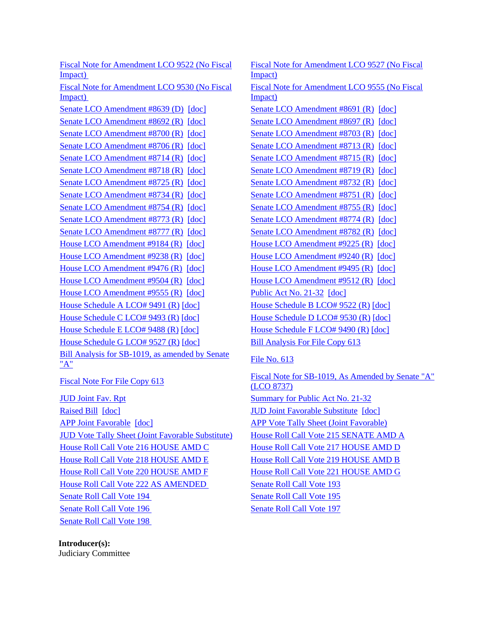[Fiscal Note for Amendment LCO 9522 \(No Fiscal](/2021/fna/pdf/2021SB-01019-R00LCO09522-FNA.PDF)  [Impact\)](/2021/fna/pdf/2021SB-01019-R00LCO09522-FNA.PDF) 

[Fiscal Note for Amendment LCO 9530 \(No Fiscal](/2021/fna/pdf/2021SB-01019-R00LCO09530-FNA.pdf)  [Impact\)](/2021/fna/pdf/2021SB-01019-R00LCO09530-FNA.pdf) 

[Senate LCO Amendment #8692 \(R\)](/2021/lcoamd/pdf/2021LCO08692-R00-AMD.pdf) [\[doc\]](https://search.cga.state.ct.us/dl2021/aml/doc/2021LCO08697-R00-AMD.DOCX) [Senate LCO Amendment #8697 \(R\)](/2021/lcoamd/pdf/2021LCO08697-R00-AMD.pdf) [doc] [Senate LCO Amendment #8700 \(R\)](/2021/lcoamd/pdf/2021LCO08700-R00-AMD.pdf) [\[doc\]](https://search.cga.state.ct.us/dl2021/aml/doc/2021LCO08703-R00-AMD.DOCX) [Senate LCO Amendment #8703 \(R\)](/2021/lcoamd/pdf/2021LCO08703-R00-AMD.pdf) [doc] [Senate LCO Amendment #8706 \(R\)](/2021/lcoamd/pdf/2021LCO08706-R00-AMD.pdf) [\[doc\]](https://search.cga.state.ct.us/dl2021/aml/doc/2021LCO08706-R00-AMD.DOCX) [Senate LCO Amendment #8713 \(R\)](/2021/lcoamd/pdf/2021LCO08713-R00-AMD.pdf) [\[doc\]](https://search.cga.state.ct.us/dl2021/aml/doc/2021LCO08713-R00-AMD.DOCX) [Senate LCO Amendment #8714 \(R\)](/2021/lcoamd/pdf/2021LCO08714-R00-AMD.pdf) [\[doc\]](https://search.cga.state.ct.us/dl2021/aml/doc/2021LCO08715-R00-AMD.DOCX) [Senate LCO Amendment #8715 \(R\)](/2021/lcoamd/pdf/2021LCO08715-R00-AMD.pdf) [doc] [Senate LCO Amendment #8718 \(R\)](/2021/lcoamd/pdf/2021LCO08718-R00-AMD.pdf) [\[doc\]](https://search.cga.state.ct.us/dl2021/aml/doc/2021LCO08719-R00-AMD.DOCX) [Senate LCO Amendment #8719 \(R\)](/2021/lcoamd/pdf/2021LCO08719-R00-AMD.pdf) [doc] [Senate LCO Amendment #8725 \(R\)](/2021/lcoamd/pdf/2021LCO08725-R00-AMD.pdf) [\[doc\]](https://search.cga.state.ct.us/dl2021/aml/doc/2021LCO08725-R00-AMD.DOCX) [Senate LCO Amendment #8732 \(R\)](/2021/lcoamd/pdf/2021LCO08732-R00-AMD.pdf) [\[doc\]](https://search.cga.state.ct.us/dl2021/aml/doc/2021LCO08732-R00-AMD.DOCX) [Senate LCO Amendment #8734 \(R\)](/2021/lcoamd/pdf/2021LCO08734-R00-AMD.pdf) [\[doc\]](https://search.cga.state.ct.us/dl2021/aml/doc/2021LCO08751-R00-AMD.DOCX) [Senate LCO Amendment #8751 \(R\)](/2021/lcoamd/pdf/2021LCO08751-R00-AMD.pdf) [doc] [Senate LCO Amendment #8754 \(R\)](/2021/lcoamd/pdf/2021LCO08754-R00-AMD.pdf) [\[doc\]](https://search.cga.state.ct.us/dl2021/aml/doc/2021LCO08754-R00-AMD.DOCX) [Senate LCO Amendment #8755 \(R\)](/2021/lcoamd/pdf/2021LCO08755-R00-AMD.pdf) [\[doc\]](https://search.cga.state.ct.us/dl2021/aml/doc/2021LCO08755-R00-AMD.DOCX) [Senate LCO Amendment #8773 \(R\)](/2021/lcoamd/pdf/2021LCO08773-R00-AMD.pdf) [\[doc\]](https://search.cga.state.ct.us/dl2021/aml/doc/2021LCO08774-R00-AMD.DOCX) [Senate LCO Amendment #8774 \(R\)](/2021/lcoamd/pdf/2021LCO08774-R00-AMD.pdf) [doc] [Senate LCO Amendment #8777 \(R\)](/2021/lcoamd/pdf/2021LCO08777-R00-AMD.pdf) [\[doc\]](https://search.cga.state.ct.us/dl2021/aml/doc/2021LCO08782-R00-AMD.DOCX) [Senate LCO Amendment #8782 \(R\)](/2021/lcoamd/pdf/2021LCO08782-R00-AMD.pdf) [doc] [House LCO Amendment #9184 \(R\)](/2021/lcoamd/pdf/2021LCO09184-R00-AMD.pdf) [\[doc\]](https://search.cga.state.ct.us/dl2021/aml/doc/2021LCO09225-R00-AMD.DOCX) [House LCO Amendment #9225 \(R\)](/2021/lcoamd/pdf/2021LCO09225-R00-AMD.pdf) [doc] [House LCO Amendment #9238 \(R\)](/2021/lcoamd/pdf/2021LCO09238-R00-AMD.pdf) [\[doc\]](https://search.cga.state.ct.us/dl2021/aml/doc/2021LCO09240-R00-AMD.DOCX) [House LCO Amendment #9240 \(R\)](/2021/lcoamd/pdf/2021LCO09240-R00-AMD.pdf) [doc] [House LCO Amendment #9476 \(R\)](/2021/lcoamd/pdf/2021LCO09476-R00-AMD.pdf) [\[doc\]](https://search.cga.state.ct.us/dl2021/aml/doc/2021LCO09495-R00-AMD.DOCX) [House LCO Amendment #9495 \(R\)](/2021/lcoamd/pdf/2021LCO09495-R00-AMD.pdf) [doc] [House LCO Amendment #9504 \(R\)](/2021/lcoamd/pdf/2021LCO09504-R00-AMD.pdf) [\[doc\]](https://search.cga.state.ct.us/dl2021/aml/doc/2021LCO09512-R00-AMD.DOCX) [House LCO Amendment #9512 \(R\)](/2021/lcoamd/pdf/2021LCO09512-R00-AMD.pdf) [doc] [House LCO Amendment #9555 \(R\)](/2021/lcoamd/pdf/2021LCO09555-R00-AMD.pdf) [\[doc\]](https://search.cga.state.ct.us/dl2021/aml/doc/2021LCO09555-R00-AMD.DOCX) [Public Act No. 21-32](/2021/ACT/PA/PDF/2021PA-00032-R00SB-01019-PA.PDF) [\[doc\]](https://search.cga.state.ct.us/dl2021/PA/DOC/2021PA-00032-R00SB-01019-PA.DOCX) [House Schedule A LCO# 9491 \(R\)](/2021/amd/S/pdf/2021SB-01019-R00HA-AMD.pdf) [\[doc\]](https://search.cga.state.ct.us/dl2021/AMd/DOC/2021SB-01019-R00HA-AMD.Docx) [House Schedule B LCO# 9522 \(R\)](/2021/amd/S/pdf/2021SB-01019-R00HB-AMD.pdf) [\[doc\]](https://search.cga.state.ct.us/dl2021/AMd/DOC/2021SB-01019-R00HB-AMD.Docx) [House Schedule C LCO# 9493 \(R\)](/2021/amd/S/pdf/2021SB-01019-R00HC-AMD.pdf)  $[doc]$  [House Schedule D LCO# 9530 \(R\)](/2021/amd/S/pdf/2021SB-01019-R00HD-AMD.pdf)  $[doc]$ [House Schedule E LCO# 9488 \(R\)](/2021/amd/S/pdf/2021SB-01019-R00HE-AMD.pdf) [\[doc\]](https://search.cga.state.ct.us/dl2021/AMd/DOC/2021SB-01019-R00HF-AMD.Docx) [House Schedule F LCO# 9490 \(R\)](/2021/amd/S/pdf/2021SB-01019-R00HF-AMD.pdf) [doc] [House Schedule G LCO# 9527 \(R\)](/2021/amd/S/pdf/2021SB-01019-R00HG-AMD.pdf) [\[doc\]](https://search.cga.state.ct.us/dl2021/AMd/DOC/2021SB-01019-R00HG-AMD.Docx) [Bill Analysis For File Copy 613](/2021/BA/PDF/2021SB-01019-R000613-BA.PDF) Bill Analysis for SB-1019, as amended by Senate<br> ["A"](/2021/BA/PDF/2021SB-01019-R01-BA.PDF) [File No. 613](/2021/FC/PDF/2021SB-01019-R000613-FC.PDF)

[APP Joint Favorable](/2021/TOB/S/PDF/2021SB-01019-R02-SB.PDF) [\[doc\]](https://search.cga.state.ct.us/dl2021/TOB/DOC/2021SB-01019-R02-SB.DOCX) [APP Vote Tally Sheet \(Joint Favorable\)](/2021/TS/S/PDF/2021SB-01019-R00APP-CV110-TS.PDF) [JUD Vote Tally Sheet \(Joint Favorable Substitute\)](/2021/TS/S/PDF/2021SB-01019-R00JUD-CV97-TS.PDF) [House Roll Call Vote 215 SENATE AMD A](/2021/VOTE/H/PDF/2021HV-00215-R00SB01019-HV.PDF) [House Roll Call Vote 216 HOUSE AMD C](/2021/VOTE/H/PDF/2021HV-00216-R00SB01019-HV.PDF) [House Roll Call Vote 217 HOUSE AMD D](/2021/VOTE/H/PDF/2021HV-00217-R00SB01019-HV.PDF) [House Roll Call Vote 218 HOUSE AMD E](/2021/VOTE/H/PDF/2021HV-00218-R00SB01019-HV.PDF) [House Roll Call Vote 219 HOUSE AMD B](/2021/VOTE/H/PDF/2021HV-00219-R00SB01019-HV.PDF) [House Roll Call Vote 220 HOUSE AMD F](/2021/VOTE/H/PDF/2021HV-00220-R00SB01019-HV.PDF) [House Roll Call Vote 221 HOUSE](/2021/VOTE/H/PDF/2021HV-00221-R00SB01019-HV.PDF) AMD G [House Roll Call Vote 222 AS AMENDED](/2021/VOTE/H/PDF/2021HV-00222-R00SB01019-HV.PDF) [Senate Roll Call Vote 193](/2021/VOTE/S/PDF/2021SV-00193-R00SB01019-SV.PDF)  [Senate Roll Call Vote 194](/2021/VOTE/S/PDF/2021SV-00194-R00SB01019-SV.PDF) Senate Roll Call Vote 195 [Senate Roll Call Vote 196](/2021/VOTE/S/PDF/2021SV-00196-R00SB01019-SV.PDF) Senate Roll Call Vote 197 [Senate Roll Call Vote 198](/2021/VOTE/S/PDF/2021SV-00198-R00SB01019-SV.PDF) 

**Introducer(s):** Judiciary Committee

[Fiscal Note for Amendment LCO 9527 \(No Fiscal](/2021/fna/pdf/2021SB-01019-R00LCO09527-FNA.PDF)  [Impact\)](/2021/fna/pdf/2021SB-01019-R00LCO09527-FNA.PDF)  [Fiscal Note for Amendment LCO 9555 \(No Fiscal](/2021/fna/pdf/2021SB-01019-R00LCO09555-FNA.PDF)  [Impact\)](/2021/fna/pdf/2021SB-01019-R00LCO09555-FNA.PDF)  [Senate LCO Amendment #8639 \(D\)](/2021/lcoamd/pdf/2021LCO08639-R00-AMD.pdf) [\[doc\]](https://search.cga.state.ct.us/dl2021/aml/doc/2021LCO08691-R00-AMD.DOCX) [Senate LCO Amendment #8691 \(R\)](/2021/lcoamd/pdf/2021LCO08691-R00-AMD.pdf) [doc]

[Fiscal Note For File Copy 613](/2021/FN/PDF/2021SB-01019-R000613-FN.PDF) Fiscal Note for SB-1019, As Amended by Senate "A" [\(LCO 8737\)](/2021/FN/PDF/2021SB-01019-R01-FN.PDF) [JUD Joint Fav. Rpt](/2021/JFR/S/PDF/2021SB-01019-R00JUD-JFR.PDF) [Summary for Public Act No. 21-32](/2021/SUM/PDF/2021SUM00032-R02SB-01019-SUM.PDF) [Raised Bill](/2021/TOB/S/PDF/2021SB-01019-R00-SB.PDF) [\[doc\]](https://search.cga.state.ct.us/dl2021/TOB/DOC/2021SB-01019-R01-SB.DOCX) **IUD Joint Favorable Substitute [doc]**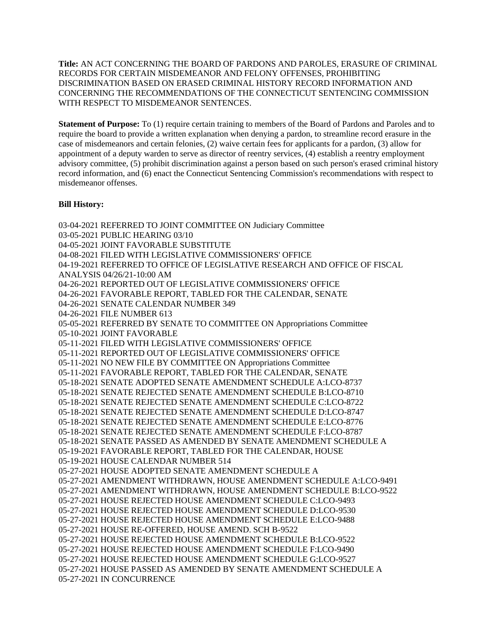**Title:** AN ACT CONCERNING THE BOARD OF PARDONS AND PAROLES, ERASURE OF CRIMINAL RECORDS FOR CERTAIN MISDEMEANOR AND FELONY OFFENSES, PROHIBITING DISCRIMINATION BASED ON ERASED CRIMINAL HISTORY RECORD INFORMATION AND CONCERNING THE RECOMMENDATIONS OF THE CONNECTICUT SENTENCING COMMISSION WITH RESPECT TO MISDEMEANOR SENTENCES.

**Statement of Purpose:** To (1) require certain training to members of the Board of Pardons and Paroles and to require the board to provide a written explanation when denying a pardon, to streamline record erasure in the case of misdemeanors and certain felonies, (2) waive certain fees for applicants for a pardon, (3) allow for appointment of a deputy warden to serve as director of reentry services, (4) establish a reentry employment advisory committee, (5) prohibit discrimination against a person based on such person's erased criminal history record information, and (6) enact the Connecticut Sentencing Commission's recommendations with respect to misdemeanor offenses.

## **Bill History:**

03-04-2021 REFERRED TO JOINT COMMITTEE ON Judiciary Committee 03-05-2021 PUBLIC HEARING 03/10 04-05-2021 JOINT FAVORABLE SUBSTITUTE 04-08-2021 FILED WITH LEGISLATIVE COMMISSIONERS' OFFICE 04-19-2021 REFERRED TO OFFICE OF LEGISLATIVE RESEARCH AND OFFICE OF FISCAL ANALYSIS 04/26/21-10:00 AM 04-26-2021 REPORTED OUT OF LEGISLATIVE COMMISSIONERS' OFFICE 04-26-2021 FAVORABLE REPORT, TABLED FOR THE CALENDAR, SENATE 04-26-2021 SENATE CALENDAR NUMBER 349 04-26-2021 FILE NUMBER 613 05-05-2021 REFERRED BY SENATE TO COMMITTEE ON Appropriations Committee 05-10-2021 JOINT FAVORABLE 05-11-2021 FILED WITH LEGISLATIVE COMMISSIONERS' OFFICE 05-11-2021 REPORTED OUT OF LEGISLATIVE COMMISSIONERS' OFFICE 05-11-2021 NO NEW FILE BY COMMITTEE ON Appropriations Committee 05-11-2021 FAVORABLE REPORT, TABLED FOR THE CALENDAR, SENATE 05-18-2021 SENATE ADOPTED SENATE AMENDMENT SCHEDULE A:LCO-8737 05-18-2021 SENATE REJECTED SENATE AMENDMENT SCHEDULE B:LCO-8710 05-18-2021 SENATE REJECTED SENATE AMENDMENT SCHEDULE C:LCO-8722 05-18-2021 SENATE REJECTED SENATE AMENDMENT SCHEDULE D:LCO-8747 05-18-2021 SENATE REJECTED SENATE AMENDMENT SCHEDULE E:LCO-8776 05-18-2021 SENATE REJECTED SENATE AMENDMENT SCHEDULE F:LCO-8787 05-18-2021 SENATE PASSED AS AMENDED BY SENATE AMENDMENT SCHEDULE A 05-19-2021 FAVORABLE REPORT, TABLED FOR THE CALENDAR, HOUSE 05-19-2021 HOUSE CALENDAR NUMBER 514 05-27-2021 HOUSE ADOPTED SENATE AMENDMENT SCHEDULE A 05-27-2021 AMENDMENT WITHDRAWN, HOUSE AMENDMENT SCHEDULE A:LCO-9491 05-27-2021 AMENDMENT WITHDRAWN, HOUSE AMENDMENT SCHEDULE B:LCO-9522 05-27-2021 HOUSE REJECTED HOUSE AMENDMENT SCHEDULE C:LCO-9493 05-27-2021 HOUSE REJECTED HOUSE AMENDMENT SCHEDULE D:LCO-9530 05-27-2021 HOUSE REJECTED HOUSE AMENDMENT SCHEDULE E:LCO-9488 05-27-2021 HOUSE RE-OFFERED, HOUSE AMEND. SCH B-9522 05-27-2021 HOUSE REJECTED HOUSE AMENDMENT SCHEDULE B:LCO-9522 05-27-2021 HOUSE REJECTED HOUSE AMENDMENT SCHEDULE F:LCO-9490 05-27-2021 HOUSE REJECTED HOUSE AMENDMENT SCHEDULE G:LCO-9527 05-27-2021 HOUSE PASSED AS AMENDED BY SENATE AMENDMENT SCHEDULE A 05-27-2021 IN CONCURRENCE